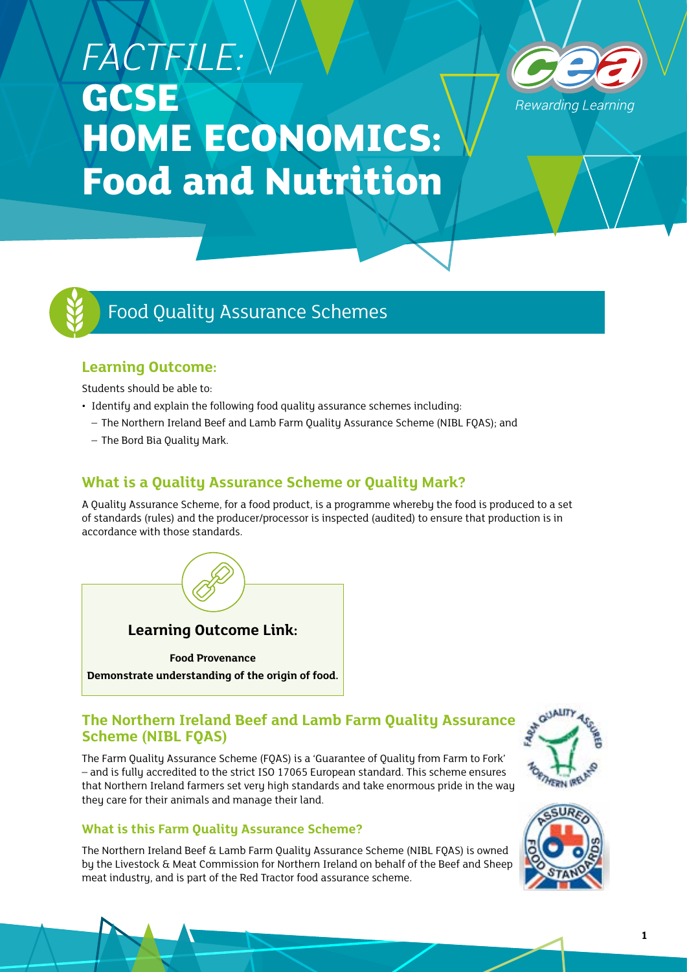# *FACTFILE:*  **GCSE HOME ECONOMICS: Food and Nutrition**





# Food Quality Assurance Schemes

# **Learning Outcome:**

Students should be able to:

- Identify and explain the following food quality assurance schemes including:
- The Northern Ireland Beef and Lamb Farm Quality Assurance Scheme (NIBL FQAS); and
- The Bord Bia Quality Mark.

# **What is a Quality Assurance Scheme or Quality Mark?**

A Quality Assurance Scheme, for a food product, is a programme whereby the food is produced to a set of standards (rules) and the producer/processor is inspected (audited) to ensure that production is in accordance with those standards.



# **The Northern Ireland Beef and Lamb Farm Quality Assurance Scheme (NIBL FQAS)**

The Farm Quality Assurance Scheme (FQAS) is a 'Guarantee of Quality from Farm to Fork' – and is fully accredited to the strict ISO 17065 European standard. This scheme ensures that Northern Ireland farmers set very high standards and take enormous pride in the way they care for their animals and manage their land.

# **What is this Farm Quality Assurance Scheme?**

The Northern Ireland Beef & Lamb Farm Quality Assurance Scheme (NIBL FQAS) is owned by the Livestock & Meat Commission for Northern Ireland on behalf of the Beef and Sheep meat industry, and is part of the Red Tractor food assurance scheme.



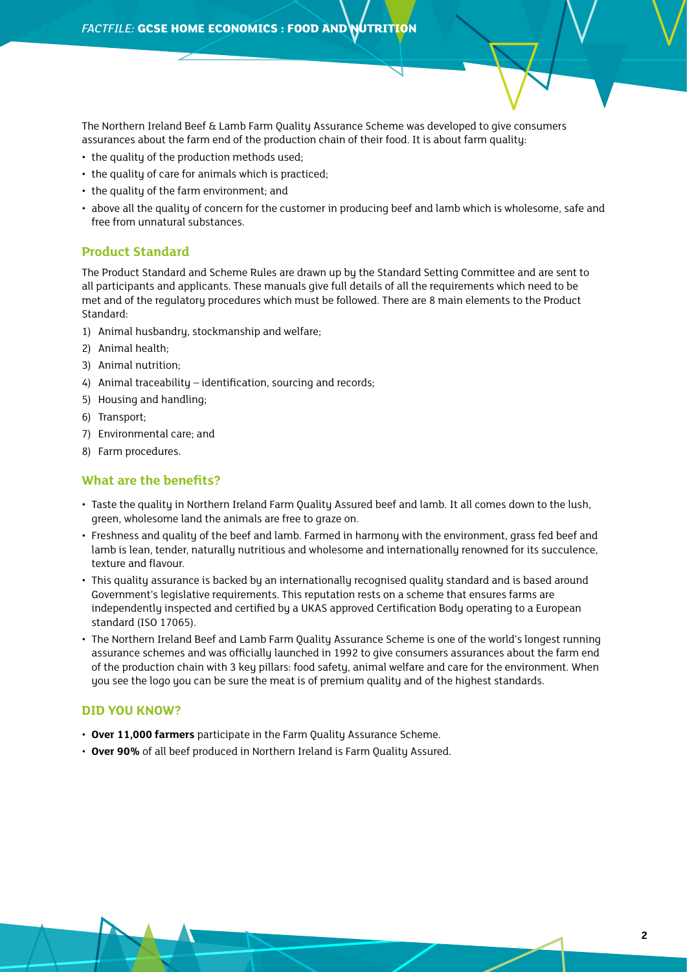The Northern Ireland Beef & Lamb Farm Quality Assurance Scheme was developed to give consumers assurances about the farm end of the production chain of their food. It is about farm quality:

- the quality of the production methods used;
- the quality of care for animals which is practiced;
- the quality of the farm environment; and
- above all the quality of concern for the customer in producing beef and lamb which is wholesome, safe and free from unnatural substances.

#### **Product Standard**

The Product Standard and Scheme Rules are drawn up by the Standard Setting Committee and are sent to all participants and applicants. These manuals give full details of all the requirements which need to be met and of the regulatory procedures which must be followed. There are 8 main elements to the Product Standard:

- 1) Animal husbandry, stockmanship and welfare;
- 2) Animal health;
- 3) Animal nutrition;
- 4) Animal traceability identification, sourcing and records;
- 5) Housing and handling;
- 6) Transport;
- 7) Environmental care; and
- 8) Farm procedures.

#### **What are the benefits?**

- Taste the quality in Northern Ireland Farm Quality Assured beef and lamb. It all comes down to the lush, green, wholesome land the animals are free to graze on.
- Freshness and quality of the beef and lamb. Farmed in harmony with the environment, grass fed beef and lamb is lean, tender, naturally nutritious and wholesome and internationally renowned for its succulence, texture and flavour.
- This qualitu assurance is backed bu an internationallu recognised qualitu standard and is based around Government's legislative requirements. This reputation rests on a scheme that ensures farms are independently inspected and certified by a UKAS approved Certification Body operating to a European standard (ISO 17065).
- The Northern Ireland Beef and Lamb Farm Quality Assurance Scheme is one of the world's longest running assurance schemes and was officially launched in 1992 to give consumers assurances about the farm end of the production chain with 3 key pillars: food safety, animal welfare and care for the environment. When you see the logo you can be sure the meat is of premium quality and of the highest standards.

#### **DID YOU KNOW?**

- **Over 11,000 farmers** participate in the Farm Quality Assurance Scheme.
- **Over 90%** of all beef produced in Northern Ireland is Farm Quality Assured.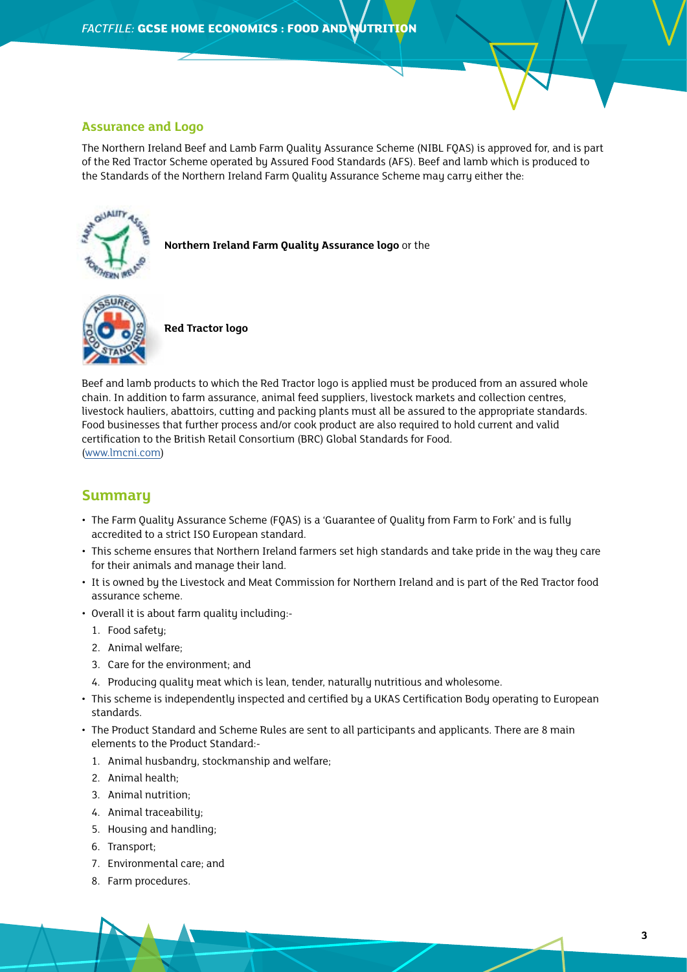#### **Assurance and Logo**

The Northern Ireland Beef and Lamb Farm Quality Assurance Scheme (NIBL FQAS) is approved for, and is part of the Red Tractor Scheme operated by Assured Food Standards (AFS). Beef and lamb which is produced to the Standards of the Northern Ireland Farm Ouality Assurance Scheme may carry either the:



**Northern Ireland Farm Quality Assurance logo** or the



**Red Tractor logo** 

Beef and lamb products to which the Red Tractor logo is applied must be produced from an assured whole chain. In addition to farm assurance, animal feed suppliers, livestock markets and collection centres, livestock hauliers, abattoirs, cutting and packing plants must all be assured to the appropriate standards. Food businesses that further process and/or cook product are also required to hold current and valid certification to the British Retail Consortium (BRC) Global Standards for Food. ([www.lmcni.com](http://www.lmcni.com))

# **Summary**

- The Farm Quality Assurance Scheme (FQAS) is a 'Guarantee of Quality from Farm to Fork' and is fully accredited to a strict ISO European standard.
- This scheme ensures that Northern Ireland farmers set high standards and take pride in the way they care for their animals and manage their land.
- It is owned by the Livestock and Meat Commission for Northern Ireland and is part of the Red Tractor food assurance scheme.
- Overall it is about farm quality including:-
	- 1. Food safety;
	- 2. Animal welfare;
	- 3. Care for the environment; and
	- 4. Producing quality meat which is lean, tender, naturally nutritious and wholesome.
- This scheme is independently inspected and certified by a UKAS Certification Body operating to European standards.
- The Product Standard and Scheme Rules are sent to all participants and applicants. There are 8 main elements to the Product Standard:-
	- 1. Animal husbandry, stockmanship and welfare;
	- 2. Animal health;
	- 3. Animal nutrition;
	- 4. Animal traceability;
	- 5. Housing and handling;
	- 6. Transport;
	- 7. Environmental care; and
	- 8. Farm procedures.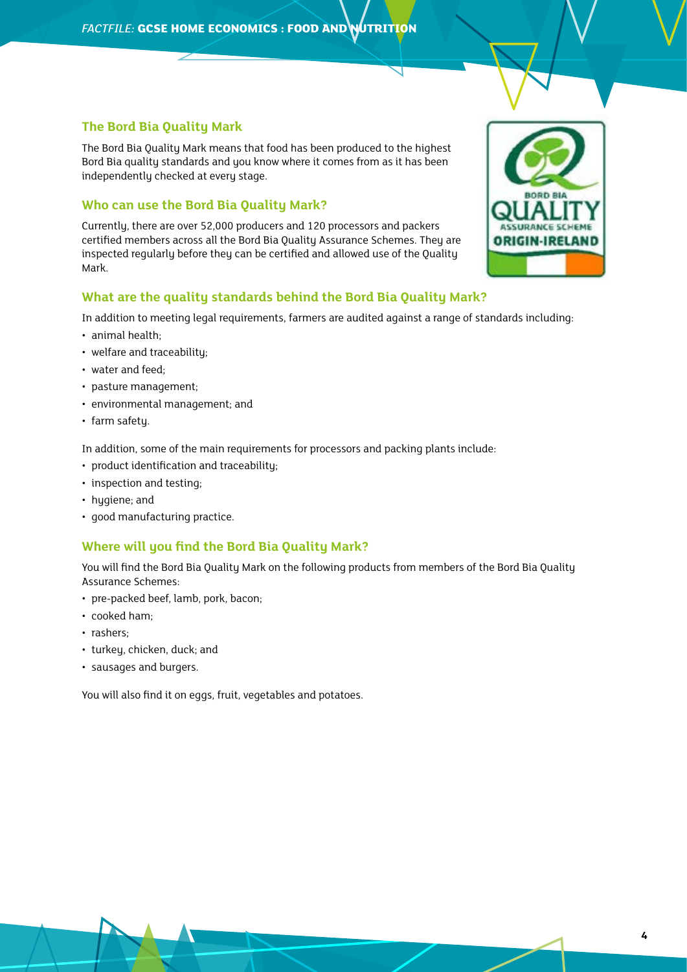# **The Bord Bia Quality Mark**

The Bord Bia Quality Mark means that food has been produced to the highest Bord Bia quality standards and you know where it comes from as it has been independently checked at every stage.

## **Who can use the Bord Bia Quality Mark?**

Currently, there are over 52,000 producers and 120 processors and packers certified members across all the Bord Bia Quality Assurance Schemes. They are inspected regularly before they can be certified and allowed use of the Quality Mark.

# **What are the quality standards behind the Bord Bia Quality Mark?**

In addition to meeting legal requirements, farmers are audited against a range of standards including:

- animal health;
- welfare and traceability;
- water and feed;
- pasture management;
- environmental management; and
- farm safety.

In addition, some of the main requirements for processors and packing plants include:

- product identification and traceability;
- inspection and testing;
- hygiene; and
- good manufacturing practice.

### **Where will you find the Bord Bia Quality Mark?**

You will find the Bord Bia Quality Mark on the following products from members of the Bord Bia Quality Assurance Schemes:

- pre-packed beef, lamb, pork, bacon;
- cooked ham;
- rashers;
- turkey, chicken, duck; and
- sausages and burgers.

You will also find it on eggs, fruit, vegetables and potatoes.

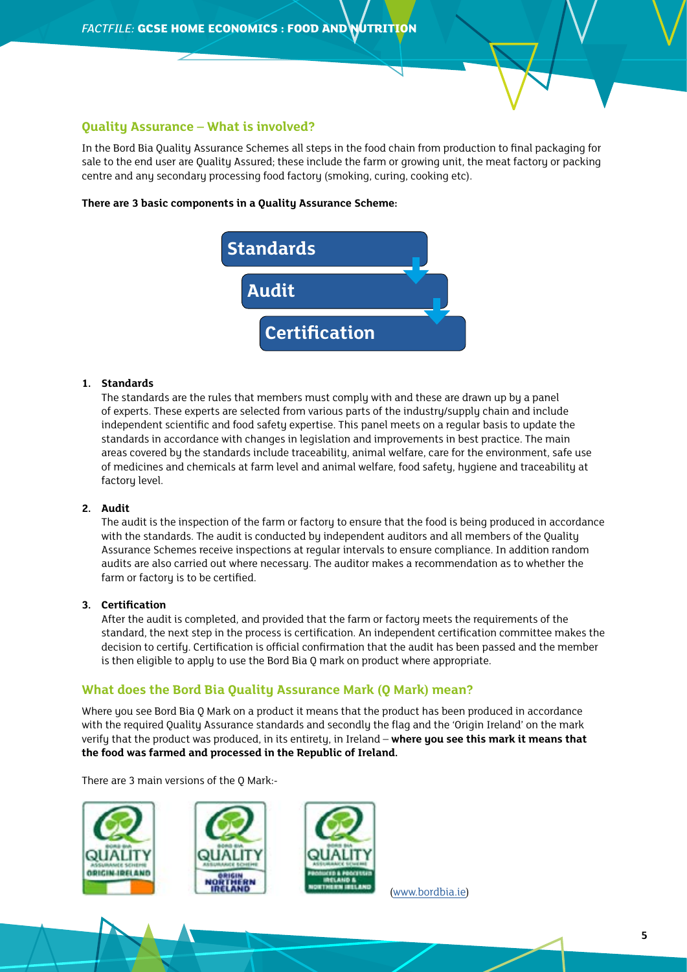#### **Quality Assurance – What is involved?**

In the Bord Bia Quality Assurance Schemes all steps in the food chain from production to final packaging for sale to the end user are Quality Assured; these include the farm or growing unit, the meat factory or packing centre and any secondary processing food factory (smoking, curing, cooking etc).

#### **There are 3 basic components in a Quality Assurance Scheme:**



#### **1. Standards**

The standards are the rules that members must comply with and these are drawn up by a panel of experts. These experts are selected from various parts of the industry/supply chain and include independent scientific and food safety expertise. This panel meets on a regular basis to update the standards in accordance with changes in legislation and improvements in best practice. The main areas covered by the standards include traceability, animal welfare, care for the environment, safe use of medicines and chemicals at farm level and animal welfare, food safety, hygiene and traceability at factory level.

#### **2. Audit**

The audit is the inspection of the farm or factory to ensure that the food is being produced in accordance with the standards. The audit is conducted by independent auditors and all members of the Quality Assurance Schemes receive inspections at regular intervals to ensure compliance. In addition random audits are also carried out where necessary. The auditor makes a recommendation as to whether the farm or factory is to be certified.

#### **3. Certification**

After the audit is completed, and provided that the farm or factory meets the requirements of the standard, the next step in the process is certification. An independent certification committee makes the decision to certify. Certification is official confirmation that the audit has been passed and the member is then eligible to apply to use the Bord Bia Q mark on product where appropriate.

#### **What does the Bord Bia Quality Assurance Mark (Q Mark) mean?**

Where you see Bord Bia Q Mark on a product it means that the product has been produced in accordance with the required Quality Assurance standards and secondly the flag and the 'Origin Ireland' on the mark verify that the product was produced, in its entirety, in Ireland – **where you see this mark it means that the food was farmed and processed in the Republic of Ireland.**

There are 3 main versions of the Q Mark:-





([www.bordbia.ie\)](http://www.bordbia.ie)